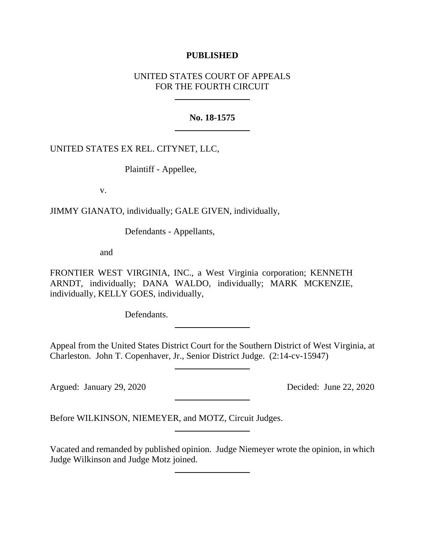## **PUBLISHED**

## UNITED STATES COURT OF APPEALS FOR THE FOURTH CIRCUIT

### **No. 18-1575**

## UNITED STATES EX REL. CITYNET, LLC,

Plaintiff - Appellee,

v.

JIMMY GIANATO, individually; GALE GIVEN, individually,

Defendants - Appellants,

and

FRONTIER WEST VIRGINIA, INC., a West Virginia corporation; KENNETH ARNDT, individually; DANA WALDO, individually; MARK MCKENZIE, individually, KELLY GOES, individually,

Defendants.

Appeal from the United States District Court for the Southern District of West Virginia, at Charleston. John T. Copenhaver, Jr., Senior District Judge. (2:14-cv-15947)

Argued: January 29, 2020 Decided: June 22, 2020

Before WILKINSON, NIEMEYER, and MOTZ, Circuit Judges.

Vacated and remanded by published opinion. Judge Niemeyer wrote the opinion, in which Judge Wilkinson and Judge Motz joined.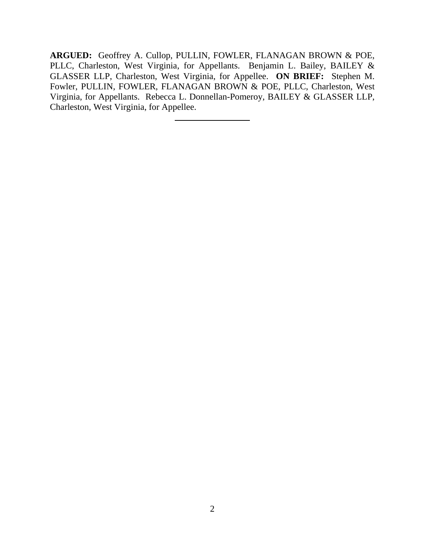**ARGUED:** Geoffrey A. Cullop, PULLIN, FOWLER, FLANAGAN BROWN & POE, PLLC, Charleston, West Virginia, for Appellants. Benjamin L. Bailey, BAILEY & GLASSER LLP, Charleston, West Virginia, for Appellee. **ON BRIEF:** Stephen M. Fowler, PULLIN, FOWLER, FLANAGAN BROWN & POE, PLLC, Charleston, West Virginia, for Appellants. Rebecca L. Donnellan-Pomeroy, BAILEY & GLASSER LLP, Charleston, West Virginia, for Appellee.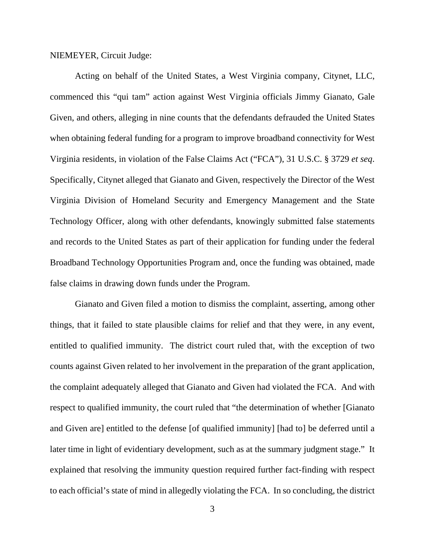NIEMEYER, Circuit Judge:

Acting on behalf of the United States, a West Virginia company, Citynet, LLC, commenced this "qui tam" action against West Virginia officials Jimmy Gianato, Gale Given, and others, alleging in nine counts that the defendants defrauded the United States when obtaining federal funding for a program to improve broadband connectivity for West Virginia residents, in violation of the False Claims Act ("FCA"), 31 U.S.C. § 3729 *et seq*. Specifically, Citynet alleged that Gianato and Given, respectively the Director of the West Virginia Division of Homeland Security and Emergency Management and the State Technology Officer, along with other defendants, knowingly submitted false statements and records to the United States as part of their application for funding under the federal Broadband Technology Opportunities Program and, once the funding was obtained, made false claims in drawing down funds under the Program.

Gianato and Given filed a motion to dismiss the complaint, asserting, among other things, that it failed to state plausible claims for relief and that they were, in any event, entitled to qualified immunity. The district court ruled that, with the exception of two counts against Given related to her involvement in the preparation of the grant application, the complaint adequately alleged that Gianato and Given had violated the FCA. And with respect to qualified immunity, the court ruled that "the determination of whether [Gianato and Given are] entitled to the defense [of qualified immunity] [had to] be deferred until a later time in light of evidentiary development, such as at the summary judgment stage." It explained that resolving the immunity question required further fact-finding with respect to each official's state of mind in allegedly violating the FCA. In so concluding, the district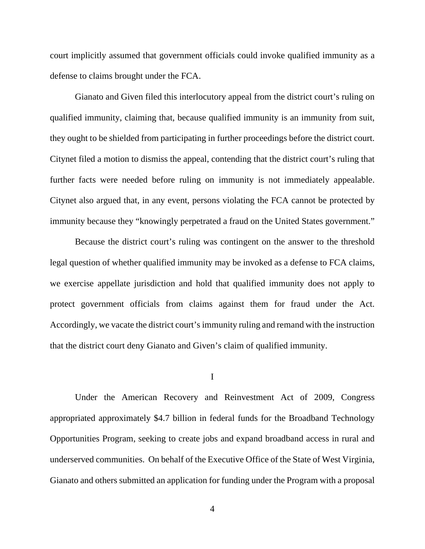court implicitly assumed that government officials could invoke qualified immunity as a defense to claims brought under the FCA.

Gianato and Given filed this interlocutory appeal from the district court's ruling on qualified immunity, claiming that, because qualified immunity is an immunity from suit, they ought to be shielded from participating in further proceedings before the district court. Citynet filed a motion to dismiss the appeal, contending that the district court's ruling that further facts were needed before ruling on immunity is not immediately appealable. Citynet also argued that, in any event, persons violating the FCA cannot be protected by immunity because they "knowingly perpetrated a fraud on the United States government."

Because the district court's ruling was contingent on the answer to the threshold legal question of whether qualified immunity may be invoked as a defense to FCA claims, we exercise appellate jurisdiction and hold that qualified immunity does not apply to protect government officials from claims against them for fraud under the Act. Accordingly, we vacate the district court's immunity ruling and remand with the instruction that the district court deny Gianato and Given's claim of qualified immunity.

#### I

Under the American Recovery and Reinvestment Act of 2009, Congress appropriated approximately \$4.7 billion in federal funds for the Broadband Technology Opportunities Program, seeking to create jobs and expand broadband access in rural and underserved communities. On behalf of the Executive Office of the State of West Virginia, Gianato and others submitted an application for funding under the Program with a proposal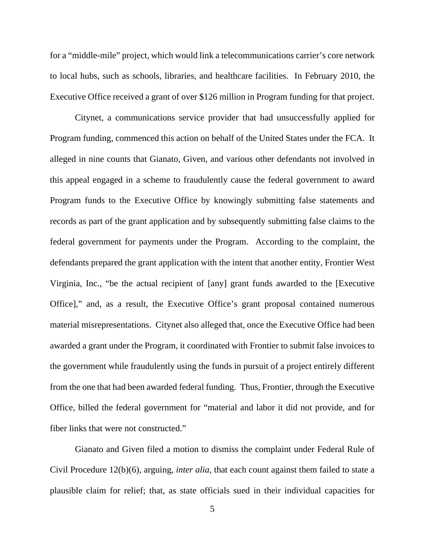for a "middle-mile" project, which would link a telecommunications carrier's core network to local hubs, such as schools, libraries, and healthcare facilities. In February 2010, the Executive Office received a grant of over \$126 million in Program funding for that project.

Citynet, a communications service provider that had unsuccessfully applied for Program funding, commenced this action on behalf of the United States under the FCA. It alleged in nine counts that Gianato, Given, and various other defendants not involved in this appeal engaged in a scheme to fraudulently cause the federal government to award Program funds to the Executive Office by knowingly submitting false statements and records as part of the grant application and by subsequently submitting false claims to the federal government for payments under the Program. According to the complaint, the defendants prepared the grant application with the intent that another entity, Frontier West Virginia, Inc., "be the actual recipient of [any] grant funds awarded to the [Executive Office]," and, as a result, the Executive Office's grant proposal contained numerous material misrepresentations. Citynet also alleged that, once the Executive Office had been awarded a grant under the Program, it coordinated with Frontier to submit false invoices to the government while fraudulently using the funds in pursuit of a project entirely different from the one that had been awarded federal funding. Thus, Frontier, through the Executive Office, billed the federal government for "material and labor it did not provide, and for fiber links that were not constructed."

Gianato and Given filed a motion to dismiss the complaint under Federal Rule of Civil Procedure 12(b)(6), arguing, *inter alia*, that each count against them failed to state a plausible claim for relief; that, as state officials sued in their individual capacities for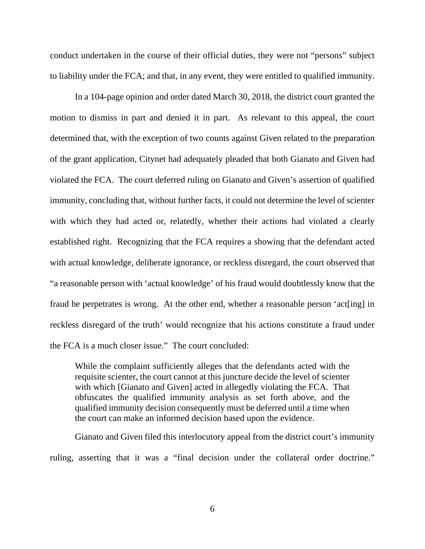conduct undertaken in the course of their official duties, they were not "persons" subject to liability under the FCA; and that, in any event, they were entitled to qualified immunity.

In a 104-page opinion and order dated March 30, 2018, the district court granted the motion to dismiss in part and denied it in part. As relevant to this appeal, the court determined that, with the exception of two counts against Given related to the preparation of the grant application, Citynet had adequately pleaded that both Gianato and Given had violated the FCA. The court deferred ruling on Gianato and Given's assertion of qualified immunity, concluding that, without further facts, it could not determine the level of scienter with which they had acted or, relatedly, whether their actions had violated a clearly established right. Recognizing that the FCA requires a showing that the defendant acted with actual knowledge, deliberate ignorance, or reckless disregard, the court observed that "a reasonable person with 'actual knowledge' of his fraud would doubtlessly know that the fraud he perpetrates is wrong. At the other end, whether a reasonable person 'act[ing] in reckless disregard of the truth' would recognize that his actions constitute a fraud under the FCA is a much closer issue." The court concluded:

While the complaint sufficiently alleges that the defendants acted with the requisite scienter, the court cannot at this juncture decide the level of scienter with which [Gianato and Given] acted in allegedly violating the FCA. That obfuscates the qualified immunity analysis as set forth above, and the qualified immunity decision consequently must be deferred until a time when the court can make an informed decision based upon the evidence.

Gianato and Given filed this interlocutory appeal from the district court's immunity ruling, asserting that it was a "final decision under the collateral order doctrine."

6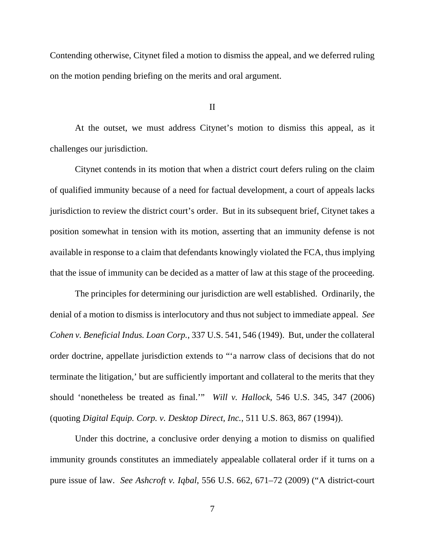Contending otherwise, Citynet filed a motion to dismiss the appeal, and we deferred ruling on the motion pending briefing on the merits and oral argument.

#### II

At the outset, we must address Citynet's motion to dismiss this appeal, as it challenges our jurisdiction.

Citynet contends in its motion that when a district court defers ruling on the claim of qualified immunity because of a need for factual development, a court of appeals lacks jurisdiction to review the district court's order. But in its subsequent brief, Citynet takes a position somewhat in tension with its motion, asserting that an immunity defense is not available in response to a claim that defendants knowingly violated the FCA, thus implying that the issue of immunity can be decided as a matter of law at this stage of the proceeding.

The principles for determining our jurisdiction are well established. Ordinarily, the denial of a motion to dismiss is interlocutory and thus not subject to immediate appeal. *See Cohen v. Beneficial Indus. Loan Corp.*, 337 U.S. 541, 546 (1949). But, under the collateral order doctrine, appellate jurisdiction extends to "'a narrow class of decisions that do not terminate the litigation,' but are sufficiently important and collateral to the merits that they should 'nonetheless be treated as final.'" *Will v. Hallock*, 546 U.S. 345, 347 (2006) (quoting *Digital Equip. Corp. v. Desktop Direct, Inc.*, 511 U.S. 863, 867 (1994)).

Under this doctrine, a conclusive order denying a motion to dismiss on qualified immunity grounds constitutes an immediately appealable collateral order if it turns on a pure issue of law. *See Ashcroft v. Iqbal*, 556 U.S. 662, 671–72 (2009) ("A district-court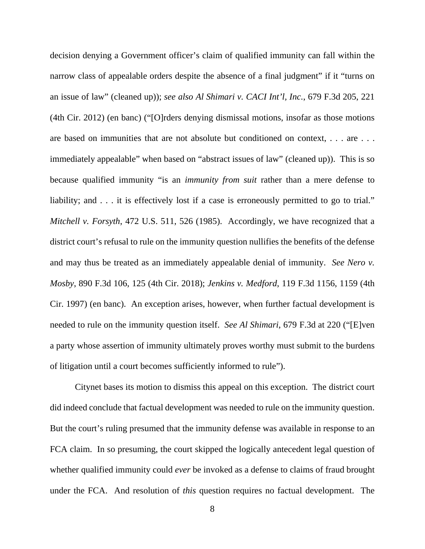decision denying a Government officer's claim of qualified immunity can fall within the narrow class of appealable orders despite the absence of a final judgment" if it "turns on an issue of law" (cleaned up)); *see also Al Shimari v. CACI Int'l, Inc.*, 679 F.3d 205, 221 (4th Cir. 2012) (en banc) ("[O]rders denying dismissal motions, insofar as those motions are based on immunities that are not absolute but conditioned on context, . . . are . . . immediately appealable" when based on "abstract issues of law" (cleaned up)). This is so because qualified immunity "is an *immunity from suit* rather than a mere defense to liability; and . . . it is effectively lost if a case is erroneously permitted to go to trial." *Mitchell v. Forsyth*, 472 U.S. 511, 526 (1985). Accordingly, we have recognized that a district court's refusal to rule on the immunity question nullifies the benefits of the defense and may thus be treated as an immediately appealable denial of immunity. *See Nero v. Mosby*, 890 F.3d 106, 125 (4th Cir. 2018); *Jenkins v. Medford*, 119 F.3d 1156, 1159 (4th Cir. 1997) (en banc). An exception arises, however, when further factual development is needed to rule on the immunity question itself. *See Al Shimari*, 679 F.3d at 220 ("[E]ven a party whose assertion of immunity ultimately proves worthy must submit to the burdens of litigation until a court becomes sufficiently informed to rule").

Citynet bases its motion to dismiss this appeal on this exception. The district court did indeed conclude that factual development was needed to rule on the immunity question. But the court's ruling presumed that the immunity defense was available in response to an FCA claim. In so presuming, the court skipped the logically antecedent legal question of whether qualified immunity could *ever* be invoked as a defense to claims of fraud brought under the FCA. And resolution of *this* question requires no factual development. The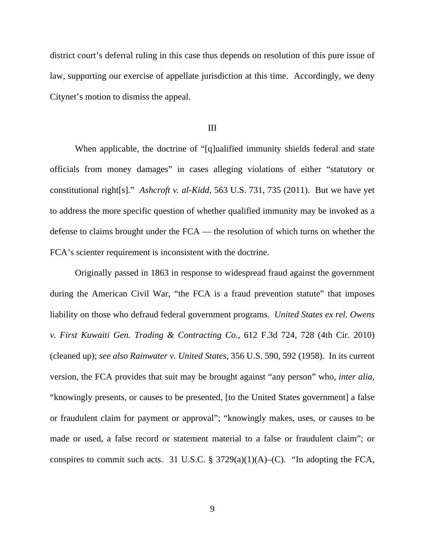district court's deferral ruling in this case thus depends on resolution of this pure issue of law, supporting our exercise of appellate jurisdiction at this time. Accordingly, we deny Citynet's motion to dismiss the appeal.

#### III

When applicable, the doctrine of "[q]ualified immunity shields federal and state officials from money damages" in cases alleging violations of either "statutory or constitutional right[s]." *Ashcroft v. al-Kidd*, 563 U.S. 731, 735 (2011). But we have yet to address the more specific question of whether qualified immunity may be invoked as a defense to claims brought under the FCA — the resolution of which turns on whether the FCA's scienter requirement is inconsistent with the doctrine.

Originally passed in 1863 in response to widespread fraud against the government during the American Civil War, "the FCA is a fraud prevention statute" that imposes liability on those who defraud federal government programs. *United States ex rel. Owens v. First Kuwaiti Gen. Trading & Contracting Co.*, 612 F.3d 724, 728 (4th Cir. 2010) (cleaned up); *see also Rainwater v. United States*, 356 U.S. 590, 592 (1958). In its current version, the FCA provides that suit may be brought against "any person" who, *inter alia*, "knowingly presents, or causes to be presented, [to the United States government] a false or fraudulent claim for payment or approval"; "knowingly makes, uses, or causes to be made or used, a false record or statement material to a false or fraudulent claim"; or conspires to commit such acts. 31 U.S.C. § 3729(a)(1)(A)–(C). "In adopting the FCA,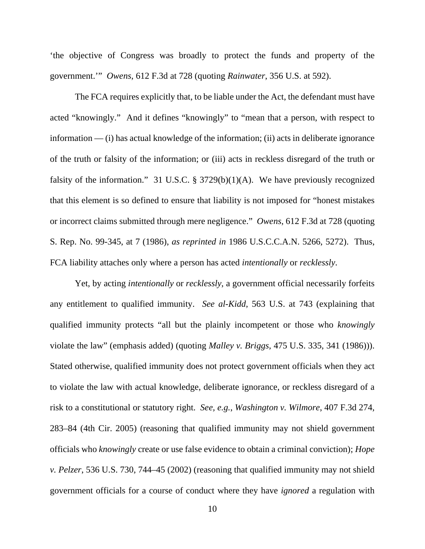'the objective of Congress was broadly to protect the funds and property of the government.'" *Owens*, 612 F.3d at 728 (quoting *Rainwater*, 356 U.S. at 592).

The FCA requires explicitly that, to be liable under the Act, the defendant must have acted "knowingly." And it defines "knowingly" to "mean that a person, with respect to information — (i) has actual knowledge of the information; (ii) acts in deliberate ignorance of the truth or falsity of the information; or (iii) acts in reckless disregard of the truth or falsity of the information." 31 U.S.C.  $\S$  3729(b)(1)(A). We have previously recognized that this element is so defined to ensure that liability is not imposed for "honest mistakes or incorrect claims submitted through mere negligence." *Owens*, 612 F.3d at 728 (quoting S. Rep. No. 99-345, at 7 (1986), *as reprinted in* 1986 U.S.C.C.A.N. 5266, 5272). Thus, FCA liability attaches only where a person has acted *intentionally* or *recklessly*.

Yet, by acting *intentionally* or *recklessly*, a government official necessarily forfeits any entitlement to qualified immunity. *See al-Kidd*, 563 U.S. at 743 (explaining that qualified immunity protects "all but the plainly incompetent or those who *knowingly* violate the law" (emphasis added) (quoting *Malley v. Briggs*, 475 U.S. 335, 341 (1986))). Stated otherwise, qualified immunity does not protect government officials when they act to violate the law with actual knowledge, deliberate ignorance, or reckless disregard of a risk to a constitutional or statutory right. *See, e.g.*, *Washington v. Wilmore*, 407 F.3d 274, 283–84 (4th Cir. 2005) (reasoning that qualified immunity may not shield government officials who *knowingly* create or use false evidence to obtain a criminal conviction); *Hope v. Pelzer*, 536 U.S. 730, 744–45 (2002) (reasoning that qualified immunity may not shield government officials for a course of conduct where they have *ignored* a regulation with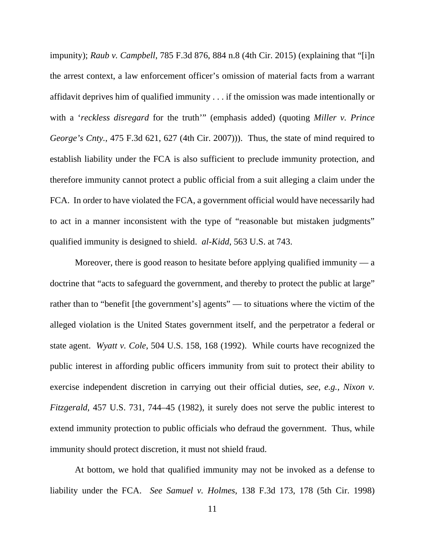impunity); *Raub v. Campbell*, 785 F.3d 876, 884 n.8 (4th Cir. 2015) (explaining that "[i]n the arrest context, a law enforcement officer's omission of material facts from a warrant affidavit deprives him of qualified immunity . . . if the omission was made intentionally or with a '*reckless disregard* for the truth'" (emphasis added) (quoting *Miller v. Prince George's Cnty.*, 475 F.3d 621, 627 (4th Cir. 2007))). Thus, the state of mind required to establish liability under the FCA is also sufficient to preclude immunity protection, and therefore immunity cannot protect a public official from a suit alleging a claim under the FCA. In order to have violated the FCA, a government official would have necessarily had to act in a manner inconsistent with the type of "reasonable but mistaken judgments" qualified immunity is designed to shield. *al-Kidd*, 563 U.S. at 743.

Moreover, there is good reason to hesitate before applying qualified immunity  $-$  a doctrine that "acts to safeguard the government, and thereby to protect the public at large" rather than to "benefit [the government's] agents" — to situations where the victim of the alleged violation is the United States government itself, and the perpetrator a federal or state agent. *Wyatt v. Cole*, 504 U.S. 158, 168 (1992). While courts have recognized the public interest in affording public officers immunity from suit to protect their ability to exercise independent discretion in carrying out their official duties, *see*, *e.g.*, *Nixon v. Fitzgerald*, 457 U.S. 731, 744–45 (1982), it surely does not serve the public interest to extend immunity protection to public officials who defraud the government. Thus, while immunity should protect discretion, it must not shield fraud.

At bottom, we hold that qualified immunity may not be invoked as a defense to liability under the FCA. *See Samuel v. Holmes*, 138 F.3d 173, 178 (5th Cir. 1998)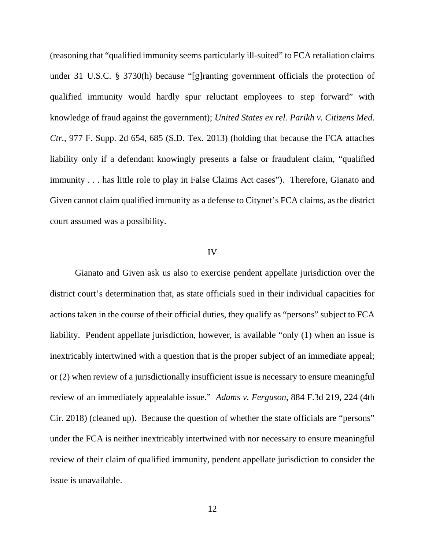(reasoning that "qualified immunity seems particularly ill-suited" to FCA retaliation claims under 31 U.S.C. § 3730(h) because "[g]ranting government officials the protection of qualified immunity would hardly spur reluctant employees to step forward" with knowledge of fraud against the government); *United States ex rel. Parikh v. Citizens Med. Ctr.*, 977 F. Supp. 2d 654, 685 (S.D. Tex. 2013) (holding that because the FCA attaches liability only if a defendant knowingly presents a false or fraudulent claim, "qualified immunity . . . has little role to play in False Claims Act cases"). Therefore, Gianato and Given cannot claim qualified immunity as a defense to Citynet's FCA claims, as the district court assumed was a possibility.

#### IV

Gianato and Given ask us also to exercise pendent appellate jurisdiction over the district court's determination that, as state officials sued in their individual capacities for actions taken in the course of their official duties, they qualify as "persons" subject to FCA liability. Pendent appellate jurisdiction, however, is available "only (1) when an issue is inextricably intertwined with a question that is the proper subject of an immediate appeal; or (2) when review of a jurisdictionally insufficient issue is necessary to ensure meaningful review of an immediately appealable issue." *Adams v. Ferguson*, 884 F.3d 219, 224 (4th Cir. 2018) (cleaned up). Because the question of whether the state officials are "persons" under the FCA is neither inextricably intertwined with nor necessary to ensure meaningful review of their claim of qualified immunity, pendent appellate jurisdiction to consider the issue is unavailable.